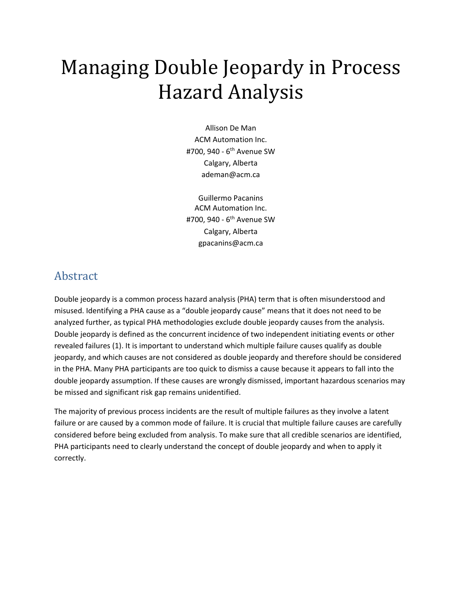# Managing Double Jeopardy in Process Hazard Analysis

Allison De Man ACM Automation Inc. #700, 940 - 6<sup>th</sup> Avenue SW Calgary, Alberta ademan@acm.ca

Guillermo Pacanins ACM Automation Inc. #700, 940 - 6<sup>th</sup> Avenue SW Calgary, Alberta gpacanins@acm.ca

#### Abstract

Double jeopardy is a common process hazard analysis (PHA) term that is often misunderstood and misused. Identifying a PHA cause as a "double jeopardy cause" means that it does not need to be analyzed further, as typical PHA methodologies exclude double jeopardy causes from the analysis. Double jeopardy is defined as the concurrent incidence of two independent initiating events or other revealed failures (1). It is important to understand which multiple failure causes qualify as double jeopardy, and which causes are not considered as double jeopardy and therefore should be considered in the PHA. Many PHA participants are too quick to dismiss a cause because it appears to fall into the double jeopardy assumption. If these causes are wrongly dismissed, important hazardous scenarios may be missed and significant risk gap remains unidentified.

The majority of previous process incidents are the result of multiple failures as they involve a latent failure or are caused by a common mode of failure. It is crucial that multiple failure causes are carefully considered before being excluded from analysis. To make sure that all credible scenarios are identified, PHA participants need to clearly understand the concept of double jeopardy and when to apply it correctly.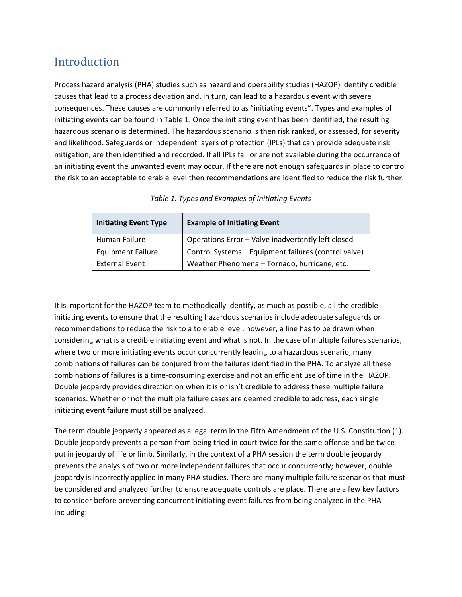## Introduction

Process hazard analysis (PHA) studies such as hazard and operability studies (HAZOP) identify credible causes that lead to a process deviation and, in turn, can lead to a hazardous event with severe consequences. These causes are commonly referred to as "initiating events". Types and examples of initiating events can be found in Table 1. Once the initiating event has been identified, the resulting hazardous scenario is determined. The hazardous scenario is then risk ranked, or assessed, for severity and likelihood. Safeguards or independent layers of protection (IPLs) that can provide adequate risk mitigation, are then identified and recorded. If all IPLs fail or are not available during the occurrence of an initiating event the unwanted event may occur. If there are not enough safeguards in place to control the risk to an acceptable tolerable level then recommendations are identified to reduce the risk further.

| <b>Initiating Event Type</b> | <b>Example of Initiating Event</b>                   |
|------------------------------|------------------------------------------------------|
| Human Failure                | Operations Error - Valve inadvertently left closed   |
| <b>Equipment Failure</b>     | Control Systems - Equipment failures (control valve) |
| External Event               | Weather Phenomena - Tornado, hurricane, etc.         |

*Table 1. Types and Examples of Initiating Events*

It is important for the HAZOP team to methodically identify, as much as possible, all the credible initiating events to ensure that the resulting hazardous scenarios include adequate safeguards or recommendations to reduce the risk to a tolerable level; however, a line has to be drawn when considering what is a credible initiating event and what is not. In the case of multiple failures scenarios, where two or more initiating events occur concurrently leading to a hazardous scenario, many combinations of failures can be conjured from the failures identified in the PHA. To analyze all these combinations of failures is a time-consuming exercise and not an efficient use of time in the HAZOP. Double jeopardy provides direction on when it is or isn't credible to address these multiple failure scenarios. Whether or not the multiple failure cases are deemed credible to address, each single initiating event failure must still be analyzed.

The term double jeopardy appeared as a legal term in the Fifth Amendment of the U.S. Constitution (1). Double jeopardy prevents a person from being tried in court twice for the same offense and be twice put in jeopardy of life or limb. Similarly, in the context of a PHA session the term double jeopardy prevents the analysis of two or more independent failures that occur concurrently; however, double jeopardy is incorrectly applied in many PHA studies. There are many multiple failure scenarios that must be considered and analyzed further to ensure adequate controls are place. There are a few key factors to consider before preventing concurrent initiating event failures from being analyzed in the PHA including: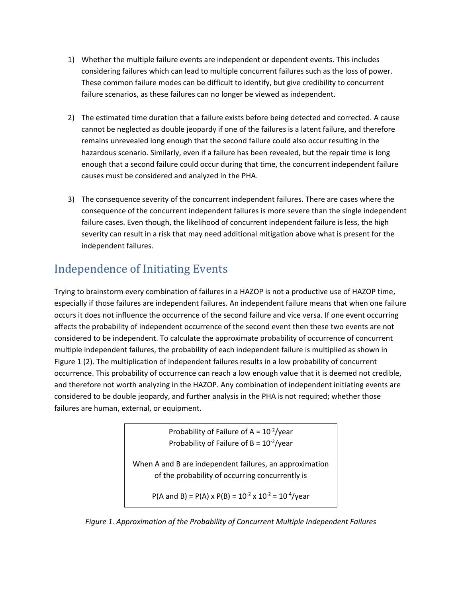- 1) Whether the multiple failure events are independent or dependent events. This includes considering failures which can lead to multiple concurrent failures such as the loss of power. These common failure modes can be difficult to identify, but give credibility to concurrent failure scenarios, as these failures can no longer be viewed as independent.
- 2) The estimated time duration that a failure exists before being detected and corrected. A cause cannot be neglected as double jeopardy if one of the failures is a latent failure, and therefore remains unrevealed long enough that the second failure could also occur resulting in the hazardous scenario. Similarly, even if a failure has been revealed, but the repair time is long enough that a second failure could occur during that time, the concurrent independent failure causes must be considered and analyzed in the PHA.
- 3) The consequence severity of the concurrent independent failures. There are cases where the consequence of the concurrent independent failures is more severe than the single independent failure cases. Even though, the likelihood of concurrent independent failure is less, the high severity can result in a risk that may need additional mitigation above what is present for the independent failures.

# Independence of Initiating Events

Trying to brainstorm every combination of failures in a HAZOP is not a productive use of HAZOP time, especially if those failures are independent failures. An independent failure means that when one failure occurs it does not influence the occurrence of the second failure and vice versa. If one event occurring affects the probability of independent occurrence of the second event then these two events are not considered to be independent. To calculate the approximate probability of occurrence of concurrent multiple independent failures, the probability of each independent failure is multiplied as shown in Figure 1 (2). The multiplication of independent failures results in a low probability of concurrent occurrence. This probability of occurrence can reach a low enough value that it is deemed not credible, and therefore not worth analyzing in the HAZOP. Any combination of independent initiating events are considered to be double jeopardy, and further analysis in the PHA is not required; whether those failures are human, external, or equipment.

> Probability of Failure of  $A = 10^{-2}/year$ Probability of Failure of  $B = 10^{-2}/y$ ear

When A and B are independent failures, an approximation of the probability of occurring concurrently is

 $P(A \text{ and } B) = P(A) \times P(B) = 10^{-2} \times 10^{-2} = 10^{-4}$ /year

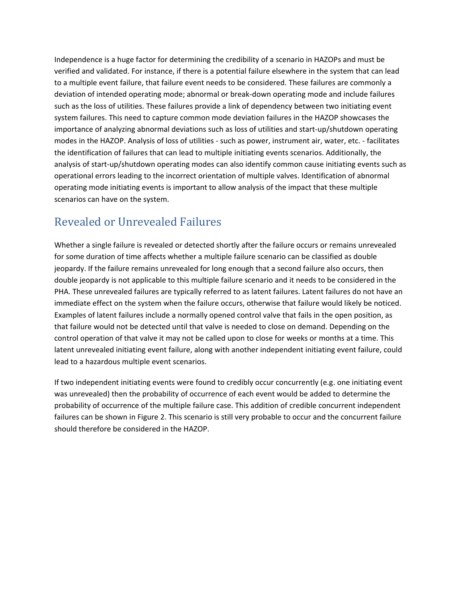Independence is a huge factor for determining the credibility of a scenario in HAZOPs and must be verified and validated. For instance, if there is a potential failure elsewhere in the system that can lead to a multiple event failure, that failure event needs to be considered. These failures are commonly a deviation of intended operating mode; abnormal or break-down operating mode and include failures such as the loss of utilities. These failures provide a link of dependency between two initiating event system failures. This need to capture common mode deviation failures in the HAZOP showcases the importance of analyzing abnormal deviations such as loss of utilities and start-up/shutdown operating modes in the HAZOP. Analysis of loss of utilities - such as power, instrument air, water, etc. - facilitates the identification of failures that can lead to multiple initiating events scenarios. Additionally, the analysis of start-up/shutdown operating modes can also identify common cause initiating events such as operational errors leading to the incorrect orientation of multiple valves. Identification of abnormal operating mode initiating events is important to allow analysis of the impact that these multiple scenarios can have on the system.

## Revealed or Unrevealed Failures

Whether a single failure is revealed or detected shortly after the failure occurs or remains unrevealed for some duration of time affects whether a multiple failure scenario can be classified as double jeopardy. If the failure remains unrevealed for long enough that a second failure also occurs, then double jeopardy is not applicable to this multiple failure scenario and it needs to be considered in the PHA. These unrevealed failures are typically referred to as latent failures. Latent failures do not have an immediate effect on the system when the failure occurs, otherwise that failure would likely be noticed. Examples of latent failures include a normally opened control valve that fails in the open position, as that failure would not be detected until that valve is needed to close on demand. Depending on the control operation of that valve it may not be called upon to close for weeks or months at a time. This latent unrevealed initiating event failure, along with another independent initiating event failure, could lead to a hazardous multiple event scenarios.

If two independent initiating events were found to credibly occur concurrently (e.g. one initiating event was unrevealed) then the probability of occurrence of each event would be added to determine the probability of occurrence of the multiple failure case. This addition of credible concurrent independent failures can be shown in Figure 2. This scenario is still very probable to occur and the concurrent failure should therefore be considered in the HAZOP.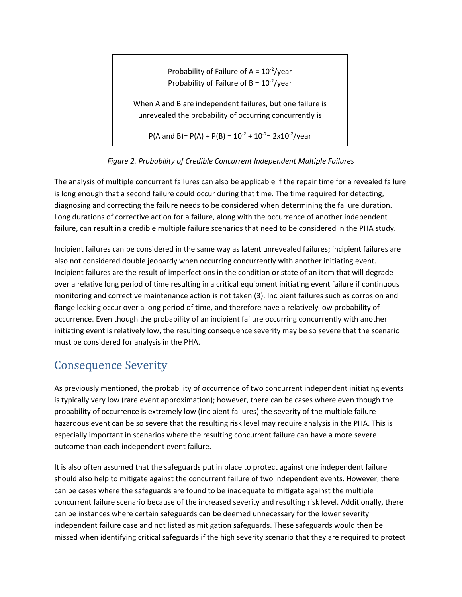Probability of Failure of  $A = 10^{-2}$ /year Probability of Failure of  $B = 10^{-2}/y$ ear

When A and B are independent failures, but one failure is unrevealed the probability of occurring concurrently is

 $P(A \text{ and } B) = P(A) + P(B) = 10^{-2} + 10^{-2} = 2 \times 10^{-2} / \text{year}$ 

*Figure 2. Probability of Credible Concurrent Independent Multiple Failures*

The analysis of multiple concurrent failures can also be applicable if the repair time for a revealed failure is long enough that a second failure could occur during that time. The time required for detecting, diagnosing and correcting the failure needs to be considered when determining the failure duration. Long durations of corrective action for a failure, along with the occurrence of another independent failure, can result in a credible multiple failure scenarios that need to be considered in the PHA study.

Incipient failures can be considered in the same way as latent unrevealed failures; incipient failures are also not considered double jeopardy when occurring concurrently with another initiating event. Incipient failures are the result of imperfections in the condition or state of an item that will degrade over a relative long period of time resulting in a critical equipment initiating event failure if continuous monitoring and corrective maintenance action is not taken (3). Incipient failures such as corrosion and flange leaking occur over a long period of time, and therefore have a relatively low probability of occurrence. Even though the probability of an incipient failure occurring concurrently with another initiating event is relatively low, the resulting consequence severity may be so severe that the scenario must be considered for analysis in the PHA.

#### Consequence Severity

As previously mentioned, the probability of occurrence of two concurrent independent initiating events is typically very low (rare event approximation); however, there can be cases where even though the probability of occurrence is extremely low (incipient failures) the severity of the multiple failure hazardous event can be so severe that the resulting risk level may require analysis in the PHA. This is especially important in scenarios where the resulting concurrent failure can have a more severe outcome than each independent event failure.

It is also often assumed that the safeguards put in place to protect against one independent failure should also help to mitigate against the concurrent failure of two independent events. However, there can be cases where the safeguards are found to be inadequate to mitigate against the multiple concurrent failure scenario because of the increased severity and resulting risk level. Additionally, there can be instances where certain safeguards can be deemed unnecessary for the lower severity independent failure case and not listed as mitigation safeguards. These safeguards would then be missed when identifying critical safeguards if the high severity scenario that they are required to protect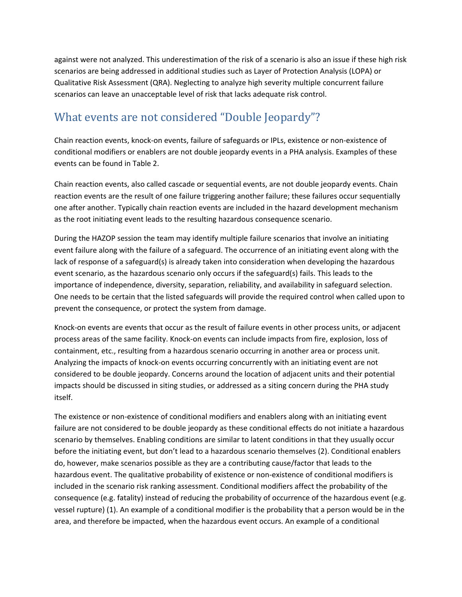against were not analyzed. This underestimation of the risk of a scenario is also an issue if these high risk scenarios are being addressed in additional studies such as Layer of Protection Analysis (LOPA) or Qualitative Risk Assessment (QRA). Neglecting to analyze high severity multiple concurrent failure scenarios can leave an unacceptable level of risk that lacks adequate risk control.

# What events are not considered "Double Jeopardy"?

Chain reaction events, knock-on events, failure of safeguards or IPLs, existence or non-existence of conditional modifiers or enablers are not double jeopardy events in a PHA analysis. Examples of these events can be found in Table 2.

Chain reaction events, also called cascade or sequential events, are not double jeopardy events. Chain reaction events are the result of one failure triggering another failure; these failures occur sequentially one after another. Typically chain reaction events are included in the hazard development mechanism as the root initiating event leads to the resulting hazardous consequence scenario.

During the HAZOP session the team may identify multiple failure scenarios that involve an initiating event failure along with the failure of a safeguard. The occurrence of an initiating event along with the lack of response of a safeguard(s) is already taken into consideration when developing the hazardous event scenario, as the hazardous scenario only occurs if the safeguard(s) fails. This leads to the importance of independence, diversity, separation, reliability, and availability in safeguard selection. One needs to be certain that the listed safeguards will provide the required control when called upon to prevent the consequence, or protect the system from damage.

Knock-on events are events that occur as the result of failure events in other process units, or adjacent process areas of the same facility. Knock-on events can include impacts from fire, explosion, loss of containment, etc., resulting from a hazardous scenario occurring in another area or process unit. Analyzing the impacts of knock-on events occurring concurrently with an initiating event are not considered to be double jeopardy. Concerns around the location of adjacent units and their potential impacts should be discussed in siting studies, or addressed as a siting concern during the PHA study itself.

The existence or non-existence of conditional modifiers and enablers along with an initiating event failure are not considered to be double jeopardy as these conditional effects do not initiate a hazardous scenario by themselves. Enabling conditions are similar to latent conditions in that they usually occur before the initiating event, but don't lead to a hazardous scenario themselves (2). Conditional enablers do, however, make scenarios possible as they are a contributing cause/factor that leads to the hazardous event. The qualitative probability of existence or non-existence of conditional modifiers is included in the scenario risk ranking assessment. Conditional modifiers affect the probability of the consequence (e.g. fatality) instead of reducing the probability of occurrence of the hazardous event (e.g. vessel rupture) (1). An example of a conditional modifier is the probability that a person would be in the area, and therefore be impacted, when the hazardous event occurs. An example of a conditional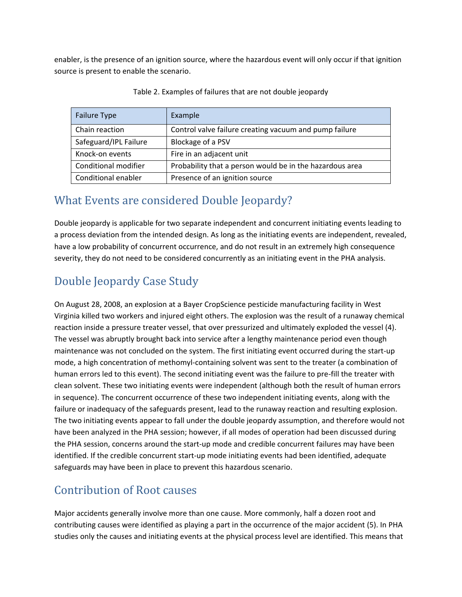enabler, is the presence of an ignition source, where the hazardous event will only occur if that ignition source is present to enable the scenario.

| Failure Type          | Example                                                  |
|-----------------------|----------------------------------------------------------|
| Chain reaction        | Control valve failure creating vacuum and pump failure   |
| Safeguard/IPL Failure | Blockage of a PSV                                        |
| Knock-on events       | Fire in an adjacent unit                                 |
| Conditional modifier  | Probability that a person would be in the hazardous area |
| Conditional enabler   | Presence of an ignition source                           |

Table 2. Examples of failures that are not double jeopardy

## What Events are considered Double Jeopardy?

Double jeopardy is applicable for two separate independent and concurrent initiating events leading to a process deviation from the intended design. As long as the initiating events are independent, revealed, have a low probability of concurrent occurrence, and do not result in an extremely high consequence severity, they do not need to be considered concurrently as an initiating event in the PHA analysis.

# Double Jeopardy Case Study

On August 28, 2008, an explosion at a Bayer CropScience pesticide manufacturing facility in West Virginia killed two workers and injured eight others. The explosion was the result of a runaway chemical reaction inside a pressure treater vessel, that over pressurized and ultimately exploded the vessel (4). The vessel was abruptly brought back into service after a lengthy maintenance period even though maintenance was not concluded on the system. The first initiating event occurred during the start-up mode, a high concentration of methomyl-containing solvent was sent to the treater (a combination of human errors led to this event). The second initiating event was the failure to pre-fill the treater with clean solvent. These two initiating events were independent (although both the result of human errors in sequence). The concurrent occurrence of these two independent initiating events, along with the failure or inadequacy of the safeguards present, lead to the runaway reaction and resulting explosion. The two initiating events appear to fall under the double jeopardy assumption, and therefore would not have been analyzed in the PHA session; however, if all modes of operation had been discussed during the PHA session, concerns around the start-up mode and credible concurrent failures may have been identified. If the credible concurrent start-up mode initiating events had been identified, adequate safeguards may have been in place to prevent this hazardous scenario.

## Contribution of Root causes

Major accidents generally involve more than one cause. More commonly, half a dozen root and contributing causes were identified as playing a part in the occurrence of the major accident (5). In PHA studies only the causes and initiating events at the physical process level are identified. This means that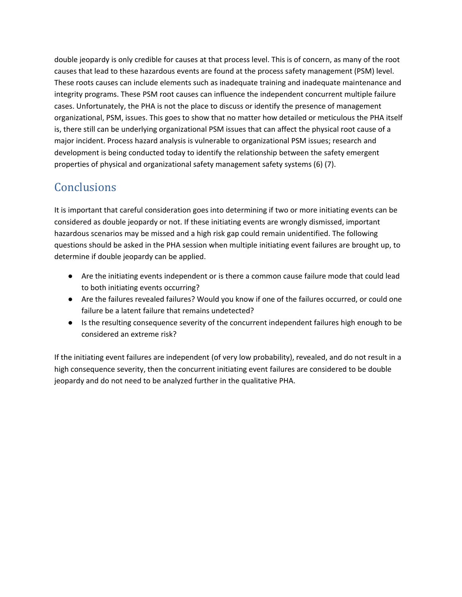double jeopardy is only credible for causes at that process level. This is of concern, as many of the root causes that lead to these hazardous events are found at the process safety management (PSM) level. These roots causes can include elements such as inadequate training and inadequate maintenance and integrity programs. These PSM root causes can influence the independent concurrent multiple failure cases. Unfortunately, the PHA is not the place to discuss or identify the presence of management organizational, PSM, issues. This goes to show that no matter how detailed or meticulous the PHA itself is, there still can be underlying organizational PSM issues that can affect the physical root cause of a major incident. Process hazard analysis is vulnerable to organizational PSM issues; research and development is being conducted today to identify the relationship between the safety emergent properties of physical and organizational safety management safety systems (6) (7).

# **Conclusions**

It is important that careful consideration goes into determining if two or more initiating events can be considered as double jeopardy or not. If these initiating events are wrongly dismissed, important hazardous scenarios may be missed and a high risk gap could remain unidentified. The following questions should be asked in the PHA session when multiple initiating event failures are brought up, to determine if double jeopardy can be applied.

- Are the initiating events independent or is there a common cause failure mode that could lead to both initiating events occurring?
- Are the failures revealed failures? Would you know if one of the failures occurred, or could one failure be a latent failure that remains undetected?
- Is the resulting consequence severity of the concurrent independent failures high enough to be considered an extreme risk?

If the initiating event failures are independent (of very low probability), revealed, and do not result in a high consequence severity, then the concurrent initiating event failures are considered to be double jeopardy and do not need to be analyzed further in the qualitative PHA.